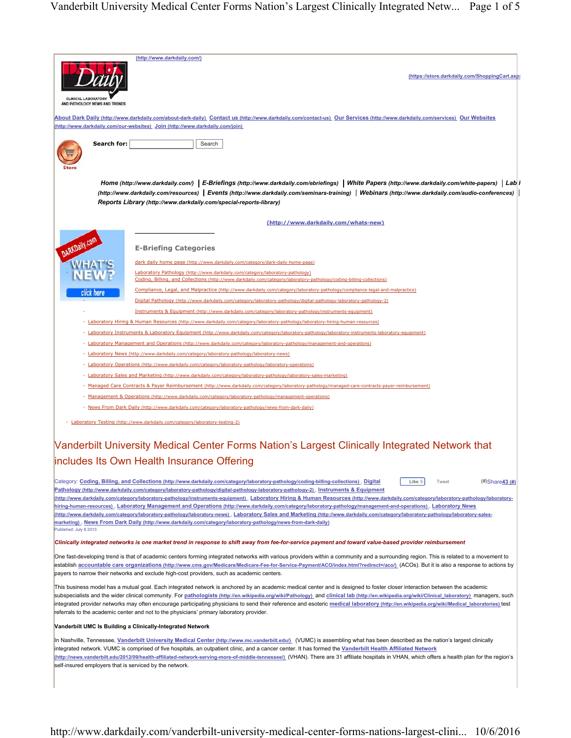|                                                                                                                                                                                                                                                                                                                                                                                                    | (http://www.darkdaily.com/)                                                                                                                                                                                                                                                                                                                                  |
|----------------------------------------------------------------------------------------------------------------------------------------------------------------------------------------------------------------------------------------------------------------------------------------------------------------------------------------------------------------------------------------------------|--------------------------------------------------------------------------------------------------------------------------------------------------------------------------------------------------------------------------------------------------------------------------------------------------------------------------------------------------------------|
|                                                                                                                                                                                                                                                                                                                                                                                                    |                                                                                                                                                                                                                                                                                                                                                              |
|                                                                                                                                                                                                                                                                                                                                                                                                    | (https://store.darkdaily.com/ShoppingCart.asp)                                                                                                                                                                                                                                                                                                               |
| <b>CLINICAL LABORATORY</b>                                                                                                                                                                                                                                                                                                                                                                         |                                                                                                                                                                                                                                                                                                                                                              |
| AND PATHOLOGY NEWS AND TRENDS                                                                                                                                                                                                                                                                                                                                                                      |                                                                                                                                                                                                                                                                                                                                                              |
|                                                                                                                                                                                                                                                                                                                                                                                                    | About Dark Daily (http://www.darkdaily.com/about-dark-daily) Contact us (http://www.darkdaily.com/contact-us) Our Services (http://www.darkdaily.com/services) Our Websites                                                                                                                                                                                  |
|                                                                                                                                                                                                                                                                                                                                                                                                    | http://www.darkdaily.com/our-websites) Join (http://www.darkdaily.com/join)                                                                                                                                                                                                                                                                                  |
| Search for:                                                                                                                                                                                                                                                                                                                                                                                        | Search                                                                                                                                                                                                                                                                                                                                                       |
|                                                                                                                                                                                                                                                                                                                                                                                                    |                                                                                                                                                                                                                                                                                                                                                              |
|                                                                                                                                                                                                                                                                                                                                                                                                    |                                                                                                                                                                                                                                                                                                                                                              |
|                                                                                                                                                                                                                                                                                                                                                                                                    | Home (http://www.darkdaily.com/) E-Briefings (http://www.darkdaily.com/ebriefings) White Papers (http://www.darkdaily.com/white-papers) Lab I                                                                                                                                                                                                                |
|                                                                                                                                                                                                                                                                                                                                                                                                    | [http://www.darkdaily.com/resources) Events (http://www.darkdaily.com/seminars-training) Webinars (http://www.darkdaily.com/audio-conferences)                                                                                                                                                                                                               |
|                                                                                                                                                                                                                                                                                                                                                                                                    | Reports Library (http://www.darkdaily.com/special-reports-library)                                                                                                                                                                                                                                                                                           |
|                                                                                                                                                                                                                                                                                                                                                                                                    | (http://www.darkdaily.com/whats-new)                                                                                                                                                                                                                                                                                                                         |
|                                                                                                                                                                                                                                                                                                                                                                                                    |                                                                                                                                                                                                                                                                                                                                                              |
|                                                                                                                                                                                                                                                                                                                                                                                                    |                                                                                                                                                                                                                                                                                                                                                              |
|                                                                                                                                                                                                                                                                                                                                                                                                    | <b>E-Briefing Categories</b>                                                                                                                                                                                                                                                                                                                                 |
|                                                                                                                                                                                                                                                                                                                                                                                                    | dark daily home page (http://www.darkdaily.com/category/dark-daily-home-page)                                                                                                                                                                                                                                                                                |
|                                                                                                                                                                                                                                                                                                                                                                                                    | Laboratory Pathology (http://www.darkdaily.com/category/laboratory-pathology)<br>Coding, Billing, and Collections (http://www.darkdaily.com/category/laboratory-pathology/coding-billing-collections)                                                                                                                                                        |
| click here                                                                                                                                                                                                                                                                                                                                                                                         | Compliance, Legal, and Malpractice (http://www.darkdaily.com/category/laboratory-pathology/compliance-legal-and-malpractice)                                                                                                                                                                                                                                 |
|                                                                                                                                                                                                                                                                                                                                                                                                    | Digital Pathology (http://www.darkdaily.com/category/laboratory-pathology/digital-pathology-laboratory-pathology-2)                                                                                                                                                                                                                                          |
|                                                                                                                                                                                                                                                                                                                                                                                                    | Instruments & Equipment (http://www.darkdaily.com/category/laboratory-pathology/instruments-equipment)                                                                                                                                                                                                                                                       |
|                                                                                                                                                                                                                                                                                                                                                                                                    | Laboratory Hiring & Human Resources (http://www.darkdaily.com/category/laboratory-pathology/laboratory-hiring-human-resources)<br>aboratory Instruments & Laboratory Equipment (http://www.darkdaily.com/category/laboratory-pathology/laboratory-instruments-laboratory-equipment)                                                                          |
|                                                                                                                                                                                                                                                                                                                                                                                                    | Laboratory Management and Operations (http://www.darkdaily.com/category/laboratory-pathology/management-and-operations)                                                                                                                                                                                                                                      |
|                                                                                                                                                                                                                                                                                                                                                                                                    | aboratory News (http://www.darkdaily.com/category/laboratory-pathology/laboratory-news)                                                                                                                                                                                                                                                                      |
|                                                                                                                                                                                                                                                                                                                                                                                                    | Laboratory Operations (http://www.darkdaily.com/category/laboratory-pathology/laboratory-operations)                                                                                                                                                                                                                                                         |
|                                                                                                                                                                                                                                                                                                                                                                                                    | Laboratory Sales and Marketing (http://www.darkdaily.com/category/laboratory-pathology/laboratory-sales-marketing)                                                                                                                                                                                                                                           |
| Managed Care Contracts & Paver Reimbursement (http://www.darkdaily.com/category/laboratory-pathology/managed-care-contracts-paver-reimbursement)<br>Management & Operations (http://www.darkdaily.com/category/laboratory-pathology/management-operations)                                                                                                                                         |                                                                                                                                                                                                                                                                                                                                                              |
|                                                                                                                                                                                                                                                                                                                                                                                                    | News From Dark Daily (http://www.darkdaily.com/category/laboratory-pathology/news-from-dark-daily)                                                                                                                                                                                                                                                           |
|                                                                                                                                                                                                                                                                                                                                                                                                    |                                                                                                                                                                                                                                                                                                                                                              |
|                                                                                                                                                                                                                                                                                                                                                                                                    | Laboratory Testing (http://www.darkdaily.com/category/laboratory-testing-2)                                                                                                                                                                                                                                                                                  |
|                                                                                                                                                                                                                                                                                                                                                                                                    |                                                                                                                                                                                                                                                                                                                                                              |
|                                                                                                                                                                                                                                                                                                                                                                                                    | Vanderbilt University Medical Center Forms Nation's Largest Clinically Integrated Network that                                                                                                                                                                                                                                                               |
|                                                                                                                                                                                                                                                                                                                                                                                                    | includes Its Own Health Insurance Offering                                                                                                                                                                                                                                                                                                                   |
|                                                                                                                                                                                                                                                                                                                                                                                                    | Like 5<br>$#)$ Share $43$ (#)<br>Category: Coding, Billing, and Collections (http://www.darkdaily.com/category/laboratory-pathology/coding-billing-collections), Digital<br>Tweet                                                                                                                                                                            |
|                                                                                                                                                                                                                                                                                                                                                                                                    | Pathology (http://www.darkdaily.com/category/laboratory-pathology/digital-pathology-laboratory-pathology-2), Instruments & Equipment                                                                                                                                                                                                                         |
|                                                                                                                                                                                                                                                                                                                                                                                                    | (http://www.darkdaily.com/category/laboratory-pathology/instruments-equipment), Laboratory Hiring & Human Resources (http://www.darkdaily.com/category/laboratory-pathology/laboratory-<br>hiring-human-resources), Laboratory Management and Operations (http://www.darkdaily.com/category/laboratory-pathology/management-and-operations), Laboratory News |
| (http://www.darkdaily.com/category/laboratory-pathology/laboratory-news). Laboratory Sales and Marketing (http://www.darkdaily.com/category/laboratory-pathology/laboratory-sales-                                                                                                                                                                                                                 |                                                                                                                                                                                                                                                                                                                                                              |
| Published: July 8 2013                                                                                                                                                                                                                                                                                                                                                                             | marketing), News From Dark Daily (http://www.darkdaily.com/category/laboratory-pathology/news-from-dark-daily)                                                                                                                                                                                                                                               |
|                                                                                                                                                                                                                                                                                                                                                                                                    | Clinically integrated networks is one market trend in response to shift away from fee-for-service payment and toward value-based provider reimbursement                                                                                                                                                                                                      |
| One fast-developing trend is that of academic centers forming integrated networks with various providers within a community and a surrounding region. This is related to a movement to                                                                                                                                                                                                             |                                                                                                                                                                                                                                                                                                                                                              |
| establish accountable care organizations (http://www.cms.gov/Medicare/Medicare-Fee-for-Service-Payment/ACO/index.html?redirect=/aco/) (ACOs). But it is also a response to actions by                                                                                                                                                                                                              |                                                                                                                                                                                                                                                                                                                                                              |
| payers to narrow their networks and exclude high-cost providers, such as academic centers.                                                                                                                                                                                                                                                                                                         |                                                                                                                                                                                                                                                                                                                                                              |
| This business model has a mutual goal. Each integrated network is anchored by an academic medical center and is designed to foster closer interaction between the academic                                                                                                                                                                                                                         |                                                                                                                                                                                                                                                                                                                                                              |
| subspecialists and the wider clinical community. For <i>pathologists (http://en.wikipedia.org/wiki/Pathology)</i> and clinical lab (http://en.wikipedia.org/wiki/Clinical laboratory) managers, such<br>integrated provider networks may often encourage participating physicians to send their reference and esoteric medical laboratory (http://en.wikipedia.org/wiki/Medical laboratories) test |                                                                                                                                                                                                                                                                                                                                                              |
| referrals to the academic center and not to the physicians' primary laboratory provider.                                                                                                                                                                                                                                                                                                           |                                                                                                                                                                                                                                                                                                                                                              |
| Vanderbilt UMC Is Building a Clinically-Integrated Network                                                                                                                                                                                                                                                                                                                                         |                                                                                                                                                                                                                                                                                                                                                              |
| In Nashville, Tennessee, <u>Vanderbilt University Medical Center (http://www.mc.vanderbilt.edu/)</u> (VUMC) is assembling what has been described as the nation's largest clinically                                                                                                                                                                                                               |                                                                                                                                                                                                                                                                                                                                                              |
| integrated network. VUMC is comprised of five hospitals, an outpatient clinic, and a cancer center. It has formed the Vanderbilt Health Affiliated Network                                                                                                                                                                                                                                         |                                                                                                                                                                                                                                                                                                                                                              |
| self-insured employers that is serviced by the network.                                                                                                                                                                                                                                                                                                                                            | (http://news.vanderbilt.edu/2012/09/health-affiliated-network-serving-more-of-middle-tennessee/) (VHAN). There are 31 affiliate hospitals in VHAN, which offers a health plan for the region's                                                                                                                                                               |
|                                                                                                                                                                                                                                                                                                                                                                                                    |                                                                                                                                                                                                                                                                                                                                                              |
|                                                                                                                                                                                                                                                                                                                                                                                                    |                                                                                                                                                                                                                                                                                                                                                              |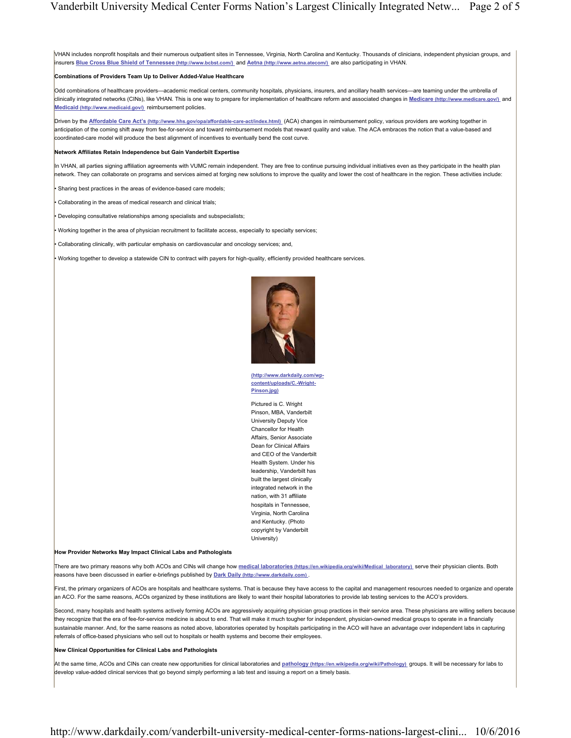VHAN includes nonprofit hospitals and their numerous outpatient sites in Tennessee, Virginia, North Carolina and Kentucky. Thousands of clinicians, independent physician groups, and insurers **Blue Cross Blue Shield of Tennessee (http://www.bcbst.com/)** and **Aetna (http://www.aetna.atecom/)** are also participating in VHAN.

## **Combinations of Providers Team Up to Deliver Added-Value Healthcare**

Odd combinations of healthcare providers—academic medical centers, community hospitals, physicians, insurers, and ancillary health services—are teaming under the umbrella of clinically integrated networks (CINs), like VHAN. This is one way to prepare for implementation of healthcare reform and associated changes in **Medicare (http://www.medicare.gov/)** and **Medicaid (http://www.medicaid.gov/)** reimbursement policies.

Driven by the **Affordable Care Act's (http://www.hhs.gov/opa/affordable-care-act/index.html)** (ACA) changes in reimbursement policy, various providers are working together in anticipation of the coming shift away from fee-for-service and toward reimbursement models that reward quality and value. The ACA embraces the notion that a value-based and coordinated-care model will produce the best alignment of incentives to eventually bend the cost curve.

## **Network Affiliates Retain Independence but Gain Vanderbilt Expertise**

In VHAN, all parties signing affiliation agreements with VUMC remain independent. They are free to continue pursuing individual initiatives even as they participate in the health plan network. They can collaborate on programs and services aimed at forging new solutions to improve the quality and lower the cost of healthcare in the region. These activities include:

• Sharing best practices in the areas of evidence-based care models;

• Collaborating in the areas of medical research and clinical trials;

• Developing consultative relationships among specialists and subspecialists;

• Working together in the area of physician recruitment to facilitate access, especially to specialty services;

• Collaborating clinically, with particular emphasis on cardiovascular and oncology services; and,

• Working together to develop a statewide CIN to contract with payers for high-quality, efficiently provided healthcare services.



**(http://www.darkdaily.com/wpcontent/uploads/C.-Wright-Pinson.jpg)** 

Pictured is C. Wright Pinson, MBA, Vanderbilt University Deputy Vice Chancellor for Health Affairs, Senior Associate Dean for Clinical Affairs and CEO of the Vanderbilt Health System. Under his leadership, Vanderbilt has built the largest clinically integrated network in the nation, with 31 affiliate hospitals in Tennessee, Virginia, North Carolina and Kentucky. (Photo copyright by Vanderbilt University)

## **How Provider Networks May Impact Clinical Labs and Pathologists**

There are two primary reasons why both ACOs and CINs will change how **medical laboratories (https://en.wikipedia.org/wiki/Medical\_laboratory)** serve their physician clients. Both reasons have been discussed in earlier e-briefings published by **Dark Daily (http://www.darkdaily.com)** .

First, the primary organizers of ACOs are hospitals and healthcare systems. That is because they have access to the capital and management resources needed to organize and operate an ACO. For the same reasons, ACOs organized by these institutions are likely to want their hospital laboratories to provide lab testing services to the ACO's providers.

Second, many hospitals and health systems actively forming ACOs are aggressively acquiring physician group practices in their service area. These physicians are willing sellers because they recognize that the era of fee-for-service medicine is about to end. That will make it much tougher for independent, physician-owned medical groups to operate in a financially sustainable manner. And, for the same reasons as noted above, laboratories operated by hospitals participating in the ACO will have an advantage over independent labs in capturing referrals of office-based physicians who sell out to hospitals or health systems and become their employees.

## **New Clinical Opportunities for Clinical Labs and Pathologists**

At the same time, ACOs and CINs can create new opportunities for clinical laboratories and **pathology (https://en.wikipedia.org/wiki/Pathology)** groups. It will be necessary for labs to develop value-added clinical services that go beyond simply performing a lab test and issuing a report on a timely basis.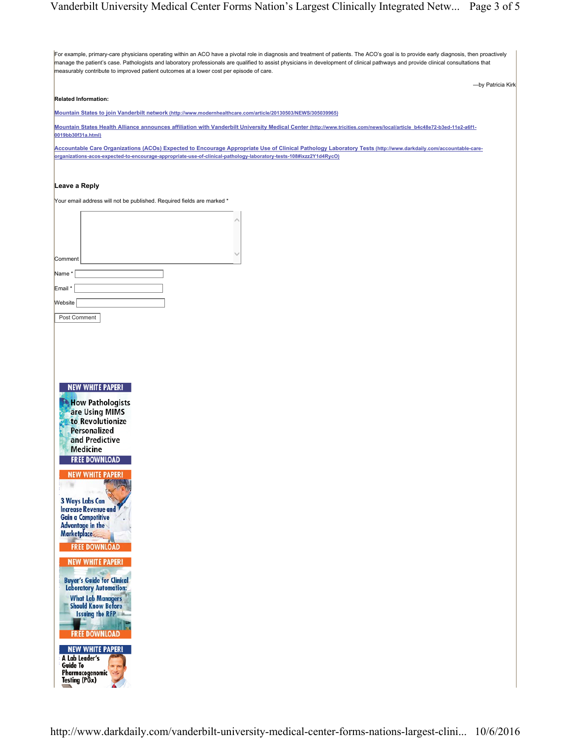For example, primary-care physicians operating within an ACO have a pivotal role in diagnosis and treatment of patients. The ACO's goal is to provide early diagnosis, then proactively manage the patient's case. Pathologists and laboratory professionals are qualified to assist physicians in development of clinical pathways and provide clinical consultations that measurably contribute to improved patient outcomes at a lower cost per episode of care. —by Patricia Kirk **Related Information: Mountain States to join Vanderbilt network (http://www.modernhealthcare.com/article/20130503/NEWS/305039965) Mountain States Health Alliance announces affiliation with Vanderbilt University Medical Center (http://www.tricities.com/news/local/article\_b4c48e72-b3ed-11e2-a6f1- 0019bb30f31a.html) Accountable Care Organizations (ACOs) Expected to Encourage Appropriate Use of Clinical Pathology Laboratory Tests (http://www.darkdaily.com/accountable-careorganizations-acos-expected-to-encourage-appropriate-use-of-clinical-pathology-laboratory-tests-108#ixzz2Y1d4RycO) Leave a Reply**  Your email address will not be published. Required fields are marked \*  $\widehat{\phantom{a}}$  $\smallsmile$ Comment Name \* Email \* Website Post Comment **NEW WHITE PAPER! Now Pathologists** are Using MIMS to Revolutionize Personalized and Predictive **Medicine FREE DOWNLOAD EW WHITE PAPER! information-management-systems-mims-20216#axzz3zbz9i5Kw)**  3 Ways Labs Can **Increase Revenue and Gain a Competitive Advantage in the Marketplace FREE DOWNLOAD** *MEW WHITE PAPER!* **can-increase-revenue-and-gain-increase-revenue-and-gain-increase-revenue-and-gain-increase-revenue-Buyer's Guide for Clinical What Lab Managers Should Know Before Issuing the RFP FREE DOWNLOAD KEW WHITE PAPER! Example 1998 Guide To Pharmacogenomic** Testing (PGx)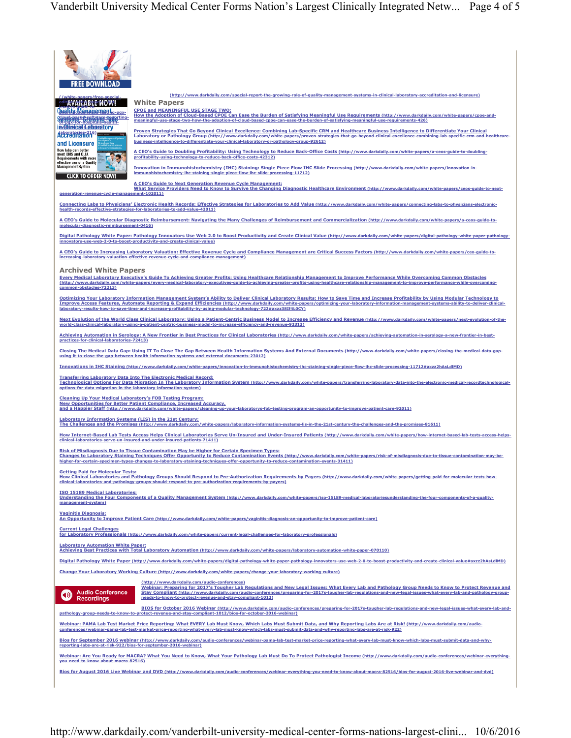